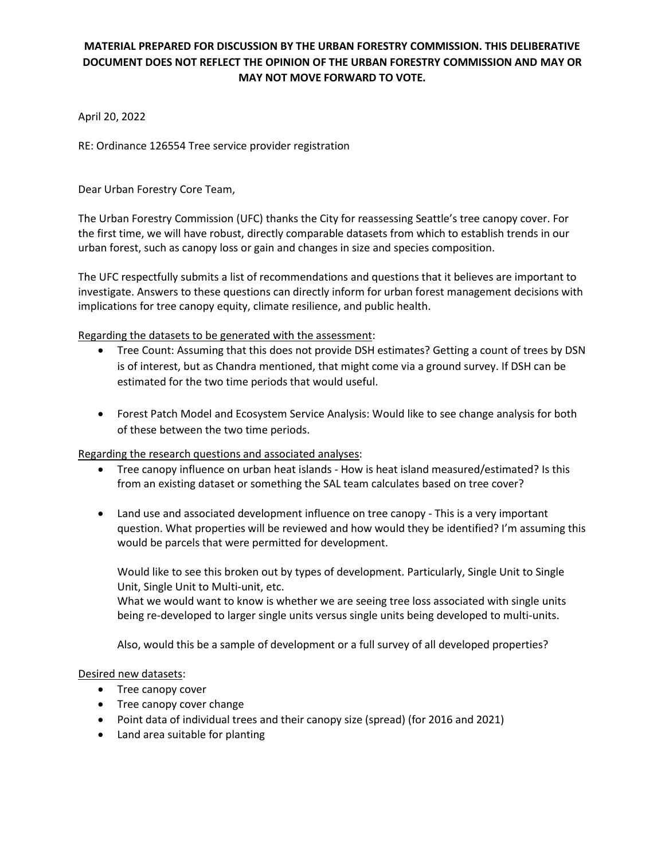## **MATERIAL PREPARED FOR DISCUSSION BY THE URBAN FORESTRY COMMISSION. THIS DELIBERATIVE DOCUMENT DOES NOT REFLECT THE OPINION OF THE URBAN FORESTRY COMMISSION AND MAY OR MAY NOT MOVE FORWARD TO VOTE.**

April 20, 2022

RE: Ordinance 126554 Tree service provider registration

Dear Urban Forestry Core Team,

The Urban Forestry Commission (UFC) thanks the City for reassessing Seattle's tree canopy cover. For the first time, we will have robust, directly comparable datasets from which to establish trends in our urban forest, such as canopy loss or gain and changes in size and species composition.

The UFC respectfully submits a list of recommendations and questions that it believes are important to investigate. Answers to these questions can directly inform for urban forest management decisions with implications for tree canopy equity, climate resilience, and public health.

Regarding the datasets to be generated with the assessment:

- Tree Count: Assuming that this does not provide DSH estimates? Getting a count of trees by DSN is of interest, but as Chandra mentioned, that might come via a ground survey. If DSH can be estimated for the two time periods that would useful.
- Forest Patch Model and Ecosystem Service Analysis: Would like to see change analysis for both of these between the two time periods.

Regarding the research questions and associated analyses:

- Tree canopy influence on urban heat islands How is heat island measured/estimated? Is this from an existing dataset or something the SAL team calculates based on tree cover?
- Land use and associated development influence on tree canopy This is a very important question. What properties will be reviewed and how would they be identified? I'm assuming this would be parcels that were permitted for development.

Would like to see this broken out by types of development. Particularly, Single Unit to Single Unit, Single Unit to Multi-unit, etc.

What we would want to know is whether we are seeing tree loss associated with single units being re-developed to larger single units versus single units being developed to multi-units.

Also, would this be a sample of development or a full survey of all developed properties?

Desired new datasets:

- Tree canopy cover
- Tree canopy cover change
- Point data of individual trees and their canopy size (spread) (for 2016 and 2021)
- Land area suitable for planting